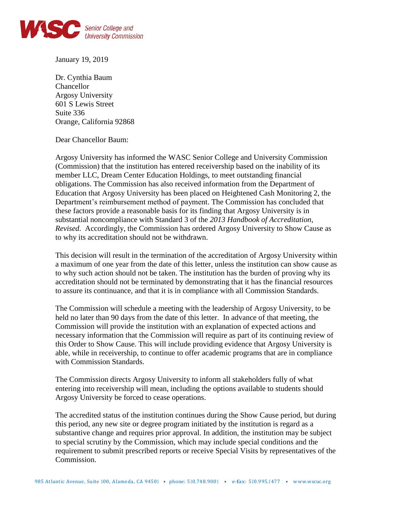

January 19, 2019

Dr. Cynthia Baum Chancellor Argosy University 601 S Lewis Street Suite 336 Orange, California 92868

Dear Chancellor Baum:

Argosy University has informed the WASC Senior College and University Commission (Commission) that the institution has entered receivership based on the inability of its member LLC, Dream Center Education Holdings, to meet outstanding financial obligations. The Commission has also received information from the Department of Education that Argosy University has been placed on Heightened Cash Monitoring 2, the Department's reimbursement method of payment. The Commission has concluded that these factors provide a reasonable basis for its finding that Argosy University is in substantial noncompliance with Standard 3 of the *2013 Handbook of Accreditation, Revised*. Accordingly, the Commission has ordered Argosy University to Show Cause as to why its accreditation should not be withdrawn.

This decision will result in the termination of the accreditation of Argosy University within a maximum of one year from the date of this letter, unless the institution can show cause as to why such action should not be taken. The institution has the burden of proving why its accreditation should not be terminated by demonstrating that it has the financial resources to assure its continuance, and that it is in compliance with all Commission Standards.

The Commission will schedule a meeting with the leadership of Argosy University, to be held no later than 90 days from the date of this letter. In advance of that meeting, the Commission will provide the institution with an explanation of expected actions and necessary information that the Commission will require as part of its continuing review of this Order to Show Cause. This will include providing evidence that Argosy University is able, while in receivership, to continue to offer academic programs that are in compliance with Commission Standards.

The Commission directs Argosy University to inform all stakeholders fully of what entering into receivership will mean, including the options available to students should Argosy University be forced to cease operations.

The accredited status of the institution continues during the Show Cause period, but during this period, any new site or degree program initiated by the institution is regard as a substantive change and requires prior approval. In addition, the institution may be subject to special scrutiny by the Commission, which may include special conditions and the requirement to submit prescribed reports or receive Special Visits by representatives of the Commission.